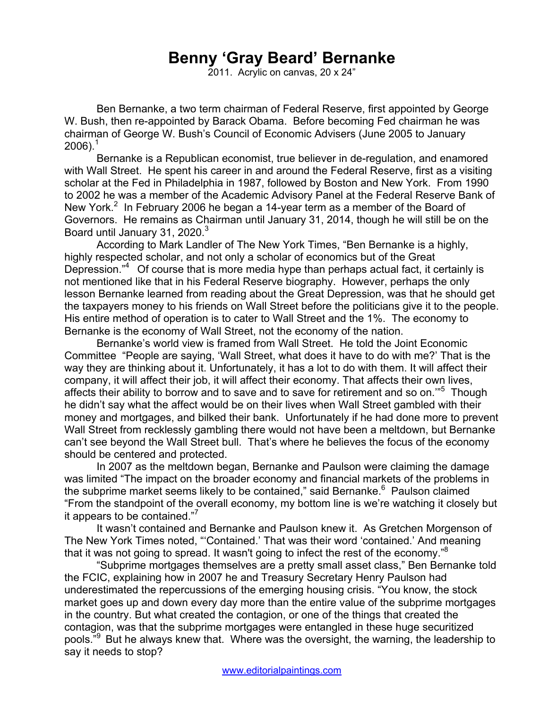## **Benny 'Gray Beard' Bernanke**

2011. Acrylic on canvas, 20 x 24"

Ben Bernanke, a two term chairman of Federal Reserve, first appointed by George W. Bush, then re-appointed by Barack Obama. Before becoming Fed chairman he was chairman of George W. Bush's Council of Economic Advisers (June 2005 to January  $2006$ ).<sup>1</sup>

Bernanke is a Republican economist, true believer in de-regulation, and enamored with Wall Street. He spent his career in and around the Federal Reserve, first as a visiting scholar at the Fed in Philadelphia in 1987, followed by Boston and New York. From 1990 to 2002 he was a member of the Academic Advisory Panel at the Federal Reserve Bank of New York.<sup>2</sup> In February 2006 he began a 14-year term as a member of the Board of Governors. He remains as Chairman until January 31, 2014, though he will still be on the Board until January 31, 2020.<sup>3</sup>

According to Mark Landler of The New York Times, "Ben Bernanke is a highly, highly respected scholar, and not only a scholar of economics but of the Great Depression."<sup>4</sup> Of course that is more media hype than perhaps actual fact, it certainly is not mentioned like that in his Federal Reserve biography. However, perhaps the only lesson Bernanke learned from reading about the Great Depression, was that he should get the taxpayers money to his friends on Wall Street before the politicians give it to the people. His entire method of operation is to cater to Wall Street and the 1%. The economy to Bernanke is the economy of Wall Street, not the economy of the nation.

Bernanke's world view is framed from Wall Street. He told the Joint Economic Committee "People are saying, 'Wall Street, what does it have to do with me?' That is the way they are thinking about it. Unfortunately, it has a lot to do with them. It will affect their company, it will affect their job, it will affect their economy. That affects their own lives, affects their ability to borrow and to save and to save for retirement and so on."<sup>5</sup> Though he didn't say what the affect would be on their lives when Wall Street gambled with their money and mortgages, and bilked their bank. Unfortunately if he had done more to prevent Wall Street from recklessly gambling there would not have been a meltdown, but Bernanke can't see beyond the Wall Street bull. That's where he believes the focus of the economy should be centered and protected.

In 2007 as the meltdown began, Bernanke and Paulson were claiming the damage was limited "The impact on the broader economy and financial markets of the problems in the subprime market seems likely to be contained," said Bernanke.<sup>6</sup> Paulson claimed "From the standpoint of the overall economy, my bottom line is we're watching it closely but it appears to be contained."7

It wasn't contained and Bernanke and Paulson knew it. As Gretchen Morgenson of The New York Times noted, "'Contained.' That was their word 'contained.' And meaning that it was not going to spread. It wasn't going to infect the rest of the economy." $8$ 

"Subprime mortgages themselves are a pretty small asset class," Ben Bernanke told the FCIC, explaining how in 2007 he and Treasury Secretary Henry Paulson had underestimated the repercussions of the emerging housing crisis. "You know, the stock market goes up and down every day more than the entire value of the subprime mortgages in the country. But what created the contagion, or one of the things that created the contagion, was that the subprime mortgages were entangled in these huge securitized pools."9 But he always knew that. Where was the oversight, the warning, the leadership to say it needs to stop?